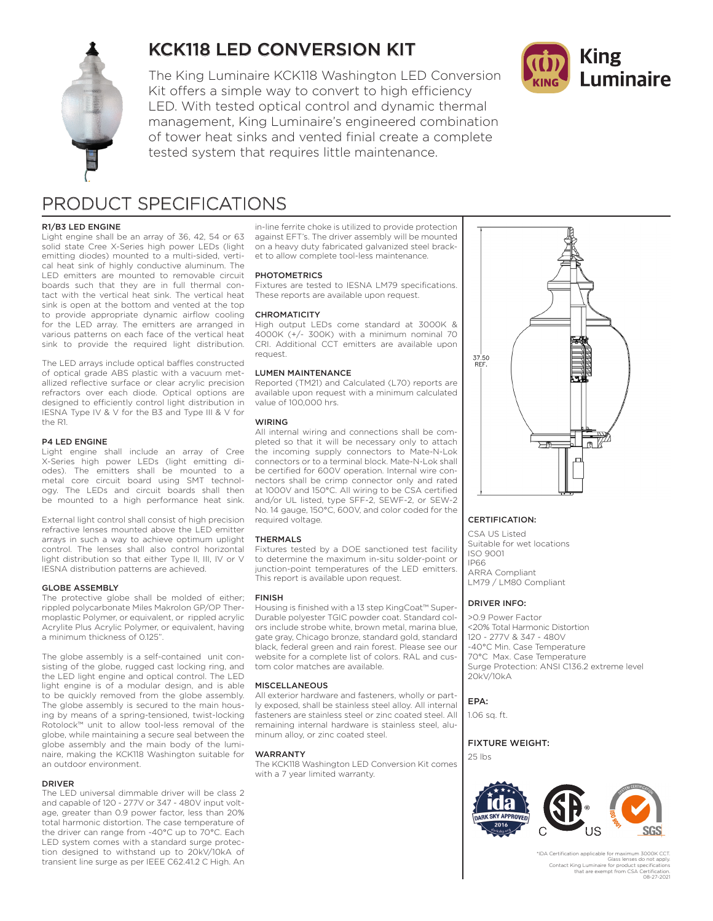

# KCK118 LED CONVERSION KIT

The King Luminaire KCK118 Washington LED Conversion Kit offers a simple way to convert to high efficiency LED. With tested optical control and dynamic thermal management, King Luminaire's engineered combination of tower heat sinks and vented finial create a complete tested system that requires little maintenance.



# PRODUCT SPECIFICATIONS

### R1/B3 LED ENGINE

Light engine shall be an array of 36, 42, 54 or 63 solid state Cree X-Series high power LEDs (light emitting diodes) mounted to a multi-sided, vertical heat sink of highly conductive aluminum. The LED emitters are mounted to removable circuit boards such that they are in full thermal contact with the vertical heat sink. The vertical heat sink is open at the bottom and vented at the top to provide appropriate dynamic airflow cooling for the LED array. The emitters are arranged in various patterns on each face of the vertical heat sink to provide the required light distribution.

The LED arrays include optical baffles constructed of optical grade ABS plastic with a vacuum metallized reflective surface or clear acrylic precision refractors over each diode. Optical options are designed to efficiently control light distribution in IESNA Type IV & V for the B3 and Type III & V for the R1.

#### P4 LED ENGINE

Light engine shall include an array of Cree X-Series high power LEDs (light emitting diodes). The emitters shall be mounted to a metal core circuit board using SMT technology. The LEDs and circuit boards shall then be mounted to a high performance heat sink.

External light control shall consist of high precision refractive lenses mounted above the LED emitter arrays in such a way to achieve optimum uplight control. The lenses shall also control horizontal light distribution so that either Type II, III, IV or V IESNA distribution patterns are achieved.

#### GLOBE ASSEMBLY

The protective globe shall be molded of either; rippled polycarbonate Miles Makrolon GP/OP Thermoplastic Polymer, or equivalent, or rippled acrylic Acrylite Plus Acrylic Polymer, or equivalent, having a minimum thickness of 0.125".

The globe assembly is a self-contained unit consisting of the globe, rugged cast locking ring, and the LED light engine and optical control. The LED light engine is of a modular design, and is able to be quickly removed from the globe assembly. The globe assembly is secured to the main housing by means of a spring-tensioned, twist-locking Rotolock™ unit to allow tool-less removal of the globe, while maintaining a secure seal between the globe assembly and the main body of the luminaire, making the KCK118 Washington suitable for an outdoor environment.

#### DRIVER

The LED universal dimmable driver will be class 2 and capable of 120 - 277V or 347 - 480V input voltage, greater than 0.9 power factor, less than 20% total harmonic distortion. The case temperature of the driver can range from -40°C up to 70°C. Each LED system comes with a standard surge protection designed to withstand up to 20kV/10kA of transient line surge as per IEEE C62.41.2 C High. An

in-line ferrite choke is utilized to provide protection against EFT's. The driver assembly will be mounted on a heavy duty fabricated galvanized steel bracket to allow complete tool-less maintenance.

#### **PHOTOMETRICS**

Fixtures are tested to IESNA LM79 specifications. These reports are available upon request.

#### **CHROMATICITY**

High output LEDs come standard at 3000K & 4000K (+/- 300K) with a minimum nominal 70 CRI. Additional CCT emitters are available upon request.

#### LUMEN MAINTENANCE

Reported (TM21) and Calculated (L70) reports are available upon request with a minimum calculated value of 100,000 hrs.

### WIRING

All internal wiring and connections shall be completed so that it will be necessary only to attach the incoming supply connectors to Mate-N-Lok connectors or to a terminal block. Mate-N-Lok shall be certified for 600V operation. Internal wire connectors shall be crimp connector only and rated at 1000V and 150°C. All wiring to be CSA certified and/or UL listed, type SFF-2, SEWF-2, or SEW-2 No. 14 gauge, 150°C, 600V, and color coded for the required voltage.

#### THERMALS

Fixtures tested by a DOE sanctioned test facility to determine the maximum in-situ solder-point or junction-point temperatures of the LED emitters. This report is available upon request.

#### FINISH

Housing is finished with a 13 step KingCoat™ Super-Durable polyester TGIC powder coat. Standard colors include strobe white, brown metal, marina blue, gate gray, Chicago bronze, standard gold, standard black, federal green and rain forest. Please see our website for a complete list of colors. RAL and custom color matches are available.

#### MISCELLANEOUS

All exterior hardware and fasteners, wholly or partly exposed, shall be stainless steel alloy. All internal fasteners are stainless steel or zinc coated steel. All remaining internal hardware is stainless steel, aluminum alloy, or zinc coated steel.

#### WARRANTY

The KCK118 Washington LED Conversion Kit comes with a 7 year limited warranty.



### CERTIFICATION:

CSA US Listed Suitable for wet locations ISO 9001 IP66 ARRA Compliant LM79 / LM80 Compliant

#### DRIVER INFO:

>0.9 Power Factor <20% Total Harmonic Distortion 120 - 277V & 347 - 480V -40°C Min. Case Temperature 70°C Max. Case Temperature Surge Protection: ANSI C136.2 extreme level 20kV/10kA

EPA:

1.06 sq. ft.

### FIXTURE WEIGHT:

25 lbs



\*IDA Certification applicable f Glass lenses do not apply. Contact King Luminaire for product specifications that are exempt from CSA Certification. 08-27-2021